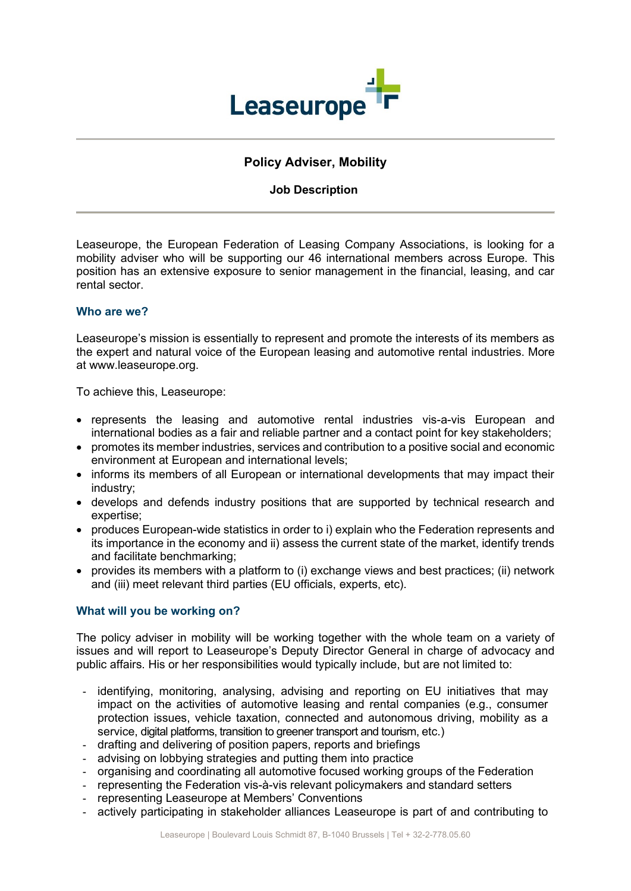

# **Policy Adviser, Mobility**

### **Job Description**

Leaseurope, the European Federation of Leasing Company Associations, is looking for a mobility adviser who will be supporting our 46 international members across Europe. This position has an extensive exposure to senior management in the financial, leasing, and car rental sector.

### **Who are we?**

Leaseurope's mission is essentially to represent and promote the interests of its members as the expert and natural voice of the European leasing and automotive rental industries. More at www.leaseurope.org.

To achieve this, Leaseurope:

- represents the leasing and automotive rental industries vis-a-vis European and international bodies as a fair and reliable partner and a contact point for key stakeholders;
- promotes its member industries, services and contribution to a positive social and economic environment at European and international levels;
- informs its members of all European or international developments that may impact their industry;
- develops and defends industry positions that are supported by technical research and expertise;
- produces European-wide statistics in order to i) explain who the Federation represents and its importance in the economy and ii) assess the current state of the market, identify trends and facilitate benchmarking;
- provides its members with a platform to (i) exchange views and best practices; (ii) network and (iii) meet relevant third parties (EU officials, experts, etc).

### **What will you be working on?**

The policy adviser in mobility will be working together with the whole team on a variety of issues and will report to Leaseurope's Deputy Director General in charge of advocacy and public affairs. His or her responsibilities would typically include, but are not limited to:

- identifying, monitoring, analysing, advising and reporting on EU initiatives that may impact on the activities of automotive leasing and rental companies (e.g., consumer protection issues, vehicle taxation, connected and autonomous driving, mobility as a service, digital platforms, transition to greener transport and tourism, etc.)
- drafting and delivering of position papers, reports and briefings
- advising on lobbying strategies and putting them into practice
- organising and coordinating all automotive focused working groups of the Federation
- representing the Federation vis-à-vis relevant policymakers and standard setters
- representing Leaseurope at Members' Conventions
- actively participating in stakeholder alliances Leaseurope is part of and contributing to